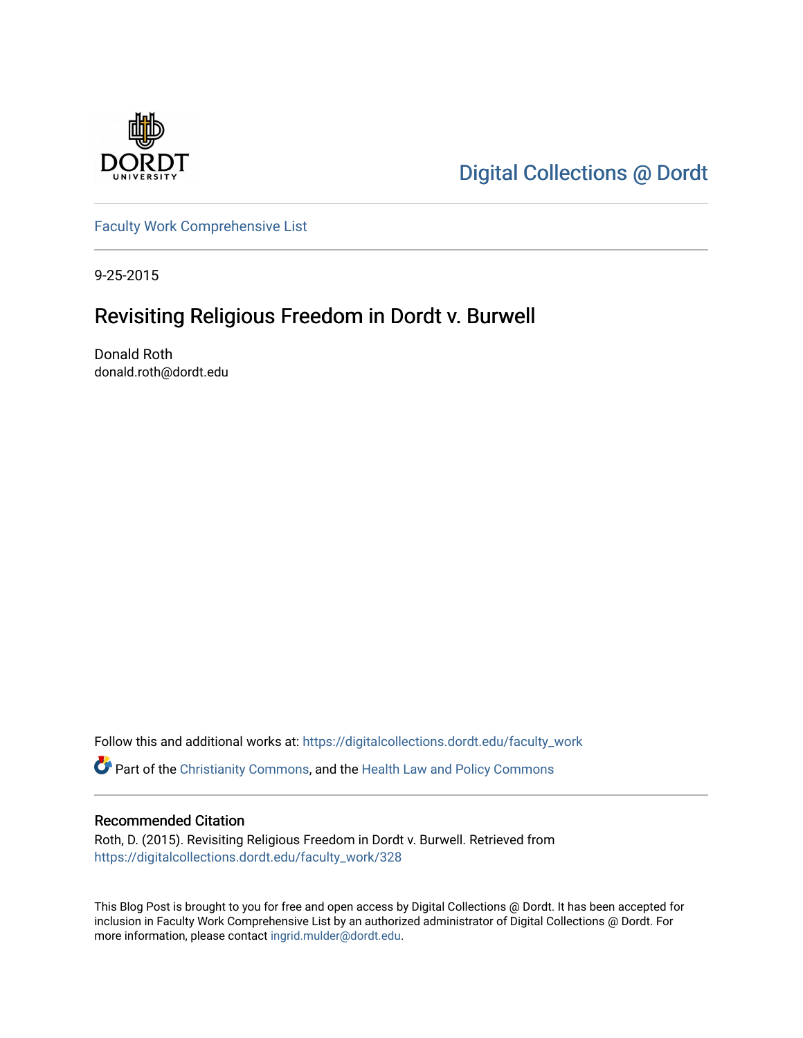

[Digital Collections @ Dordt](https://digitalcollections.dordt.edu/) 

[Faculty Work Comprehensive List](https://digitalcollections.dordt.edu/faculty_work)

9-25-2015

# Revisiting Religious Freedom in Dordt v. Burwell

Donald Roth donald.roth@dordt.edu

Follow this and additional works at: [https://digitalcollections.dordt.edu/faculty\\_work](https://digitalcollections.dordt.edu/faculty_work?utm_source=digitalcollections.dordt.edu%2Ffaculty_work%2F328&utm_medium=PDF&utm_campaign=PDFCoverPages) 

Part of the [Christianity Commons,](http://network.bepress.com/hgg/discipline/1181?utm_source=digitalcollections.dordt.edu%2Ffaculty_work%2F328&utm_medium=PDF&utm_campaign=PDFCoverPages) and the [Health Law and Policy Commons](http://network.bepress.com/hgg/discipline/901?utm_source=digitalcollections.dordt.edu%2Ffaculty_work%2F328&utm_medium=PDF&utm_campaign=PDFCoverPages) 

#### Recommended Citation

Roth, D. (2015). Revisiting Religious Freedom in Dordt v. Burwell. Retrieved from [https://digitalcollections.dordt.edu/faculty\\_work/328](https://digitalcollections.dordt.edu/faculty_work/328?utm_source=digitalcollections.dordt.edu%2Ffaculty_work%2F328&utm_medium=PDF&utm_campaign=PDFCoverPages) 

This Blog Post is brought to you for free and open access by Digital Collections @ Dordt. It has been accepted for inclusion in Faculty Work Comprehensive List by an authorized administrator of Digital Collections @ Dordt. For more information, please contact [ingrid.mulder@dordt.edu.](mailto:ingrid.mulder@dordt.edu)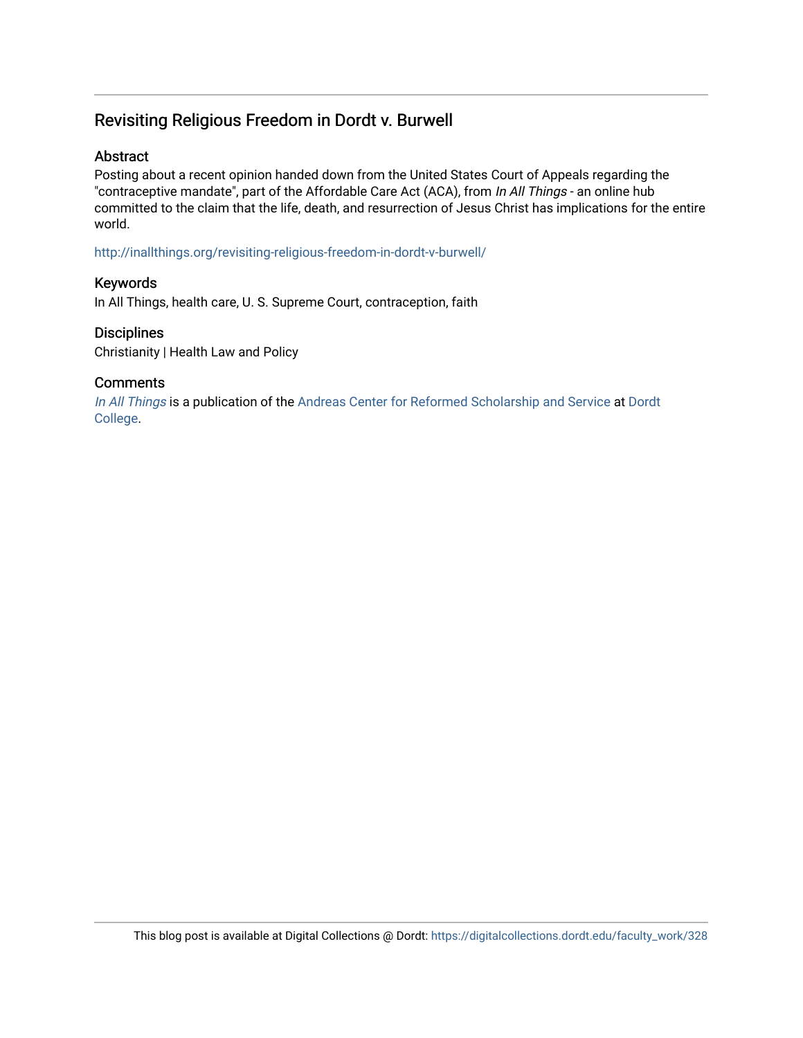## Revisiting Religious Freedom in Dordt v. Burwell

### Abstract

Posting about a recent opinion handed down from the United States Court of Appeals regarding the "contraceptive mandate", part of the Affordable Care Act (ACA), from In All Things - an online hub committed to the claim that the life, death, and resurrection of Jesus Christ has implications for the entire world.

<http://inallthings.org/revisiting-religious-freedom-in-dordt-v-burwell/>

### Keywords

In All Things, health care, U. S. Supreme Court, contraception, faith

### **Disciplines**

Christianity | Health Law and Policy

### **Comments**

[In All Things](http://inallthings.org/) is a publication of the [Andreas Center for Reformed Scholarship and Service](http://www.dordt.edu/services_support/andreas_center/) at Dordt [College](http://www.dordt.edu/).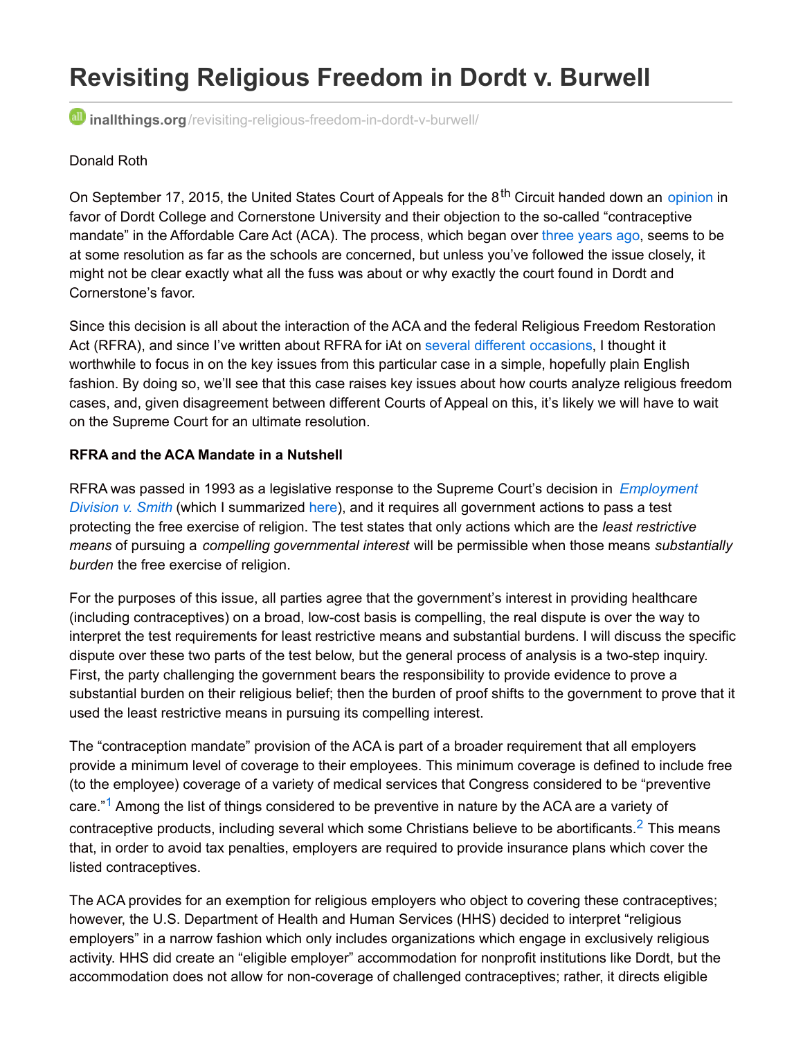# **Revisiting Religious Freedom in Dordt v. Burwell**

**inallthings.org**[/revisiting-religious-freedom-in-dordt-v-burwell/](http://inallthings.org/revisiting-religious-freedom-in-dordt-v-burwell/)

### Donald Roth

On September 17, 2015, the United States Court of Appeals for the 8<sup>th</sup> Circuit handed down an [opinion](http://www.adfmedia.org/files/DordtDecision.pdf) in favor of Dordt College and Cornerstone University and their objection to the so-called "contraceptive mandate" in the Affordable Care Act (ACA). The process, which began over three [years](https://www.dordt.edu/cgi-bin/news/get_news.pl?id=5817) ago, seems to be at some resolution as far as the schools are concerned, but unless you've followed the issue closely, it might not be clear exactly what all the fuss was about or why exactly the court found in Dordt and Cornerstone's favor.

Since this decision is all about the interaction of the ACA and the federal Religious Freedom Restoration Act (RFRA), and since I've written about RFRA for iAt on [several](http://inallthings.org/free-religion-is-not-free-discrimination/) [different](http://inallthings.org/top-10-u-s-supreme-court-cases-you-should-know-about/) [occasions](http://inallthings.org/supreme-court-cases-christians-should-know-about/), I thought it worthwhile to focus in on the key issues from this particular case in a simple, hopefully plain English fashion. By doing so, we'll see that this case raises key issues about how courts analyze religious freedom cases, and, given disagreement between different Courts of Appeal on this, it's likely we will have to wait on the Supreme Court for an ultimate resolution.

### **RFRA and the ACA Mandate in a Nutshell**

RFRA was passed in 1993 as a legislative response to the Supreme Court's decision in *[Employment](http://www.oyez.org/cases/1980-1989/1989/1989_88_1213) Division v. Smith* (which I summarized [here](http://inallthings.org/glossary/employment-division-v-smith-1990/)), and it requires all government actions to pass a test protecting the free exercise of religion. The test states that only actions which are the *least restrictive means* of pursuing a *compelling governmental interest* will be permissible when those means *substantially burden* the free exercise of religion.

For the purposes of this issue, all parties agree that the government's interest in providing healthcare (including contraceptives) on a broad, low-cost basis is compelling, the real dispute is over the way to interpret the test requirements for least restrictive means and substantial burdens. I will discuss the specific dispute over these two parts of the test below, but the general process of analysis is a two-step inquiry. First, the party challenging the government bears the responsibility to provide evidence to prove a substantial burden on their religious belief; then the burden of proof shifts to the government to prove that it used the least restrictive means in pursuing its compelling interest.

The "contraception mandate" provision of the ACA is part of a broader requirement that all employers provide a minimum level of coverage to their employees. This minimum coverage is defined to include free (to the employee) coverage of a variety of medical services that Congress considered to be "preventive care."<sup>[1](http://inallthings.org/revisiting-religious-freedom-in-dordt-v-burwell/#fn1-6325)</sup> Among the list of things considered to be preventive in nature by the ACA are a variety of contraceptive products, including several which some Christians believe to be abortificants. $^2$  $^2$  This means that, in order to avoid tax penalties, employers are required to provide insurance plans which cover the listed contraceptives.

The ACA provides for an exemption for religious employers who object to covering these contraceptives; however, the U.S. Department of Health and Human Services (HHS) decided to interpret "religious employers" in a narrow fashion which only includes organizations which engage in exclusively religious activity. HHS did create an "eligible employer" accommodation for nonprofit institutions like Dordt, but the accommodation does not allow for non-coverage of challenged contraceptives; rather, it directs eligible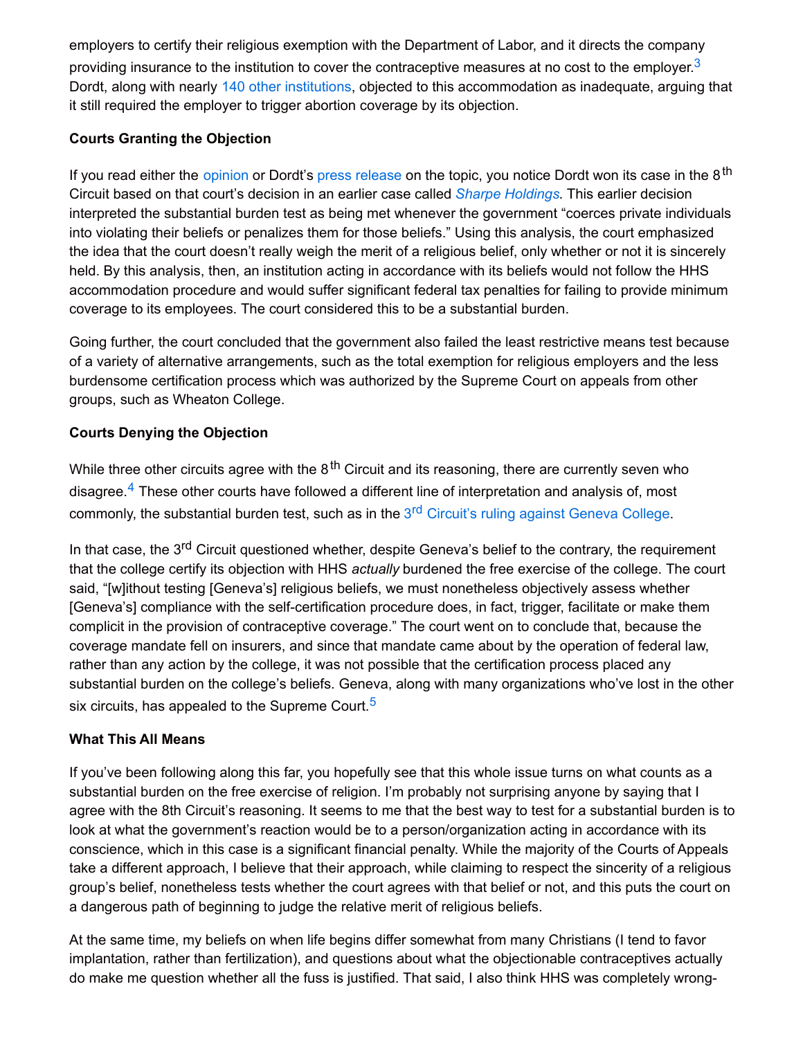employers to certify their religious exemption with the Department of Labor, and it directs the company providing insurance to the institution to cover the contraceptive measures at no cost to the employer. $^3$  $^3$ Dordt, along with nearly 140 other [institutions](http://www.becketfund.org/hhsinformationcentral/), objected to this accommodation as inadequate, arguing that it still required the employer to trigger abortion coverage by its objection.

### **Courts Granting the Objection**

If you read either the [opinion](http://www.adfmedia.org/files/DordtDecision.pdf) or Dordt's press [release](http://www.dordt.edu/cgi-bin/news/get_news.pl?id=8292) on the topic, you notice Dordt won its case in the 8<sup>th</sup> Circuit based on that court's decision in an earlier case called *Sharpe [Holdings](http://media.ca8.uscourts.gov/opndir/15/09/141507P.pdf)*. This earlier decision interpreted the substantial burden test as being met whenever the government "coerces private individuals into violating their beliefs or penalizes them for those beliefs." Using this analysis, the court emphasized the idea that the court doesn't really weigh the merit of a religious belief, only whether or not it is sincerely held. By this analysis, then, an institution acting in accordance with its beliefs would not follow the HHS accommodation procedure and would suffer significant federal tax penalties for failing to provide minimum coverage to its employees. The court considered this to be a substantial burden.

Going further, the court concluded that the government also failed the least restrictive means test because of a variety of alternative arrangements, such as the total exemption for religious employers and the less burdensome certification process which was authorized by the Supreme Court on appeals from other groups, such as Wheaton College.

### **Courts Denying the Objection**

While three other circuits agree with the 8<sup>th</sup> Circuit and its reasoning, there are currently seven who disagree.<sup>[4](http://inallthings.org/revisiting-religious-freedom-in-dordt-v-burwell/#fn4-6325)</sup> These other courts have followed a different line of interpretation and analysis of, most commonly, the substantial burden test, such as in the 3<sup>rd</sup> [Circuit's](http://www2.ca3.uscourts.gov/opinarch/133536p.pdf) ruling against Geneva College.

In that case, the 3<sup>rd</sup> Circuit questioned whether, despite Geneva's belief to the contrary, the requirement that the college certify its objection with HHS *actually* burdened the free exercise of the college. The court said, "[w]ithout testing [Geneva's] religious beliefs, we must nonetheless objectively assess whether [Geneva's] compliance with the self-certification procedure does, in fact, trigger, facilitate or make them complicit in the provision of contraceptive coverage." The court went on to conclude that, because the coverage mandate fell on insurers, and since that mandate came about by the operation of federal law, rather than any action by the college, it was not possible that the certification process placed any substantial burden on the college's beliefs. Geneva, along with many organizations who've lost in the other six circuits, has appealed to the Supreme Court. $^{\mathsf{5}}$  $^{\mathsf{5}}$  $^{\mathsf{5}}$ 

### **What This All Means**

If you've been following along this far, you hopefully see that this whole issue turns on what counts as a substantial burden on the free exercise of religion. I'm probably not surprising anyone by saying that I agree with the 8th Circuit's reasoning. It seems to me that the best way to test for a substantial burden is to look at what the government's reaction would be to a person/organization acting in accordance with its conscience, which in this case is a significant financial penalty. While the majority of the Courts of Appeals take a different approach, I believe that their approach, while claiming to respect the sincerity of a religious group's belief, nonetheless tests whether the court agrees with that belief or not, and this puts the court on a dangerous path of beginning to judge the relative merit of religious beliefs.

At the same time, my beliefs on when life begins differ somewhat from many Christians (I tend to favor implantation, rather than fertilization), and questions about what the objectionable contraceptives actually do make me question whether all the fuss is justified. That said, I also think HHS was completely wrong